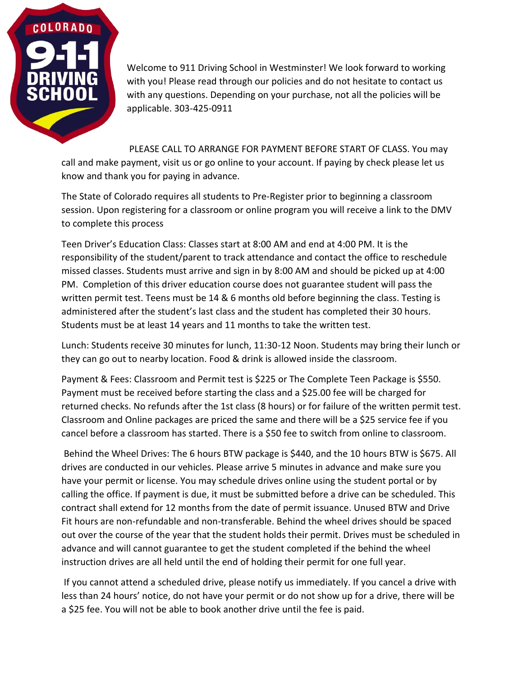

Welcome to 911 Driving School in Westminster! We look forward to working with you! Please read through our policies and do not hesitate to contact us with any questions. Depending on your purchase, not all the policies will be applicable. 303-425-0911

PLEASE CALL TO ARRANGE FOR PAYMENT BEFORE START OF CLASS. You may call and make payment, visit us or go online to your account. If paying by check please let us know and thank you for paying in advance.

The State of Colorado requires all students to Pre-Register prior to beginning a classroom session. Upon registering for a classroom or online program you will receive a link to the DMV to complete this process

Teen Driver's Education Class: Classes start at 8:00 AM and end at 4:00 PM. It is the responsibility of the student/parent to track attendance and contact the office to reschedule missed classes. Students must arrive and sign in by 8:00 AM and should be picked up at 4:00 PM. Completion of this driver education course does not guarantee student will pass the written permit test. Teens must be 14 & 6 months old before beginning the class. Testing is administered after the student's last class and the student has completed their 30 hours. Students must be at least 14 years and 11 months to take the written test.

Lunch: Students receive 30 minutes for lunch, 11:30-12 Noon. Students may bring their lunch or they can go out to nearby location. Food & drink is allowed inside the classroom.

Payment & Fees: Classroom and Permit test is \$225 or The Complete Teen Package is \$550. Payment must be received before starting the class and a \$25.00 fee will be charged for returned checks. No refunds after the 1st class (8 hours) or for failure of the written permit test. Classroom and Online packages are priced the same and there will be a \$25 service fee if you cancel before a classroom has started. There is a \$50 fee to switch from online to classroom.

Behind the Wheel Drives: The 6 hours BTW package is \$440, and the 10 hours BTW is \$675. All drives are conducted in our vehicles. Please arrive 5 minutes in advance and make sure you have your permit or license. You may schedule drives online using the student portal or by calling the office. If payment is due, it must be submitted before a drive can be scheduled. This contract shall extend for 12 months from the date of permit issuance. Unused BTW and Drive Fit hours are non-refundable and non-transferable. Behind the wheel drives should be spaced out over the course of the year that the student holds their permit. Drives must be scheduled in advance and will cannot guarantee to get the student completed if the behind the wheel instruction drives are all held until the end of holding their permit for one full year.

If you cannot attend a scheduled drive, please notify us immediately. If you cancel a drive with less than 24 hours' notice, do not have your permit or do not show up for a drive, there will be a \$25 fee. You will not be able to book another drive until the fee is paid.